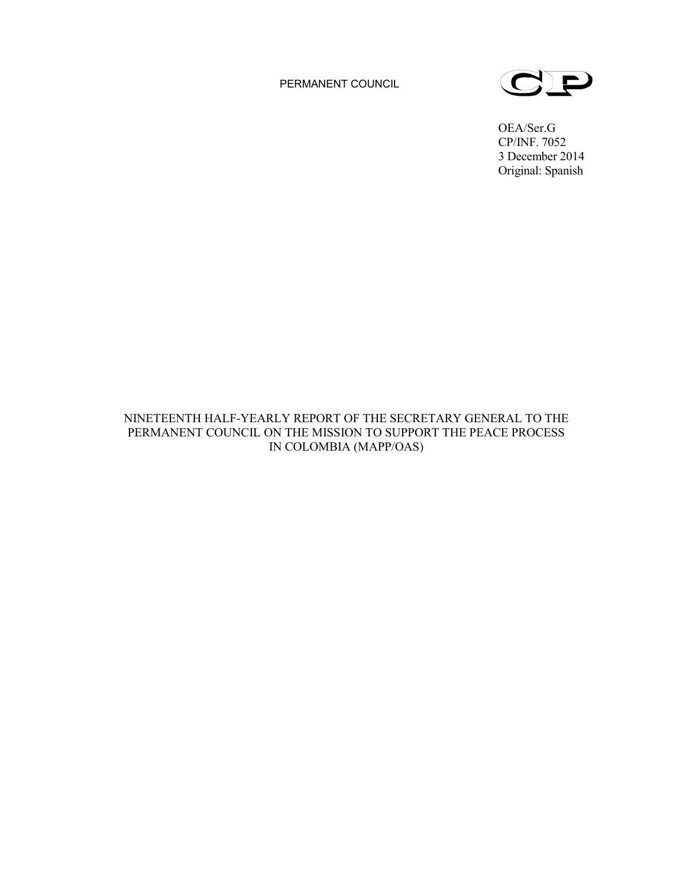PERMANENT COUNCIL



OEA/Ser.G CP/INF. 7052 3 December 2014 Original: Spanish

# NINETEENTH HALF-YEARLY REPORT OF THE SECRETARY GENERAL TO THE PERMANENT COUNCIL ON THE MISSION TO SUPPORT THE PEACE PROCESS IN COLOMBIA (MAPP/OAS)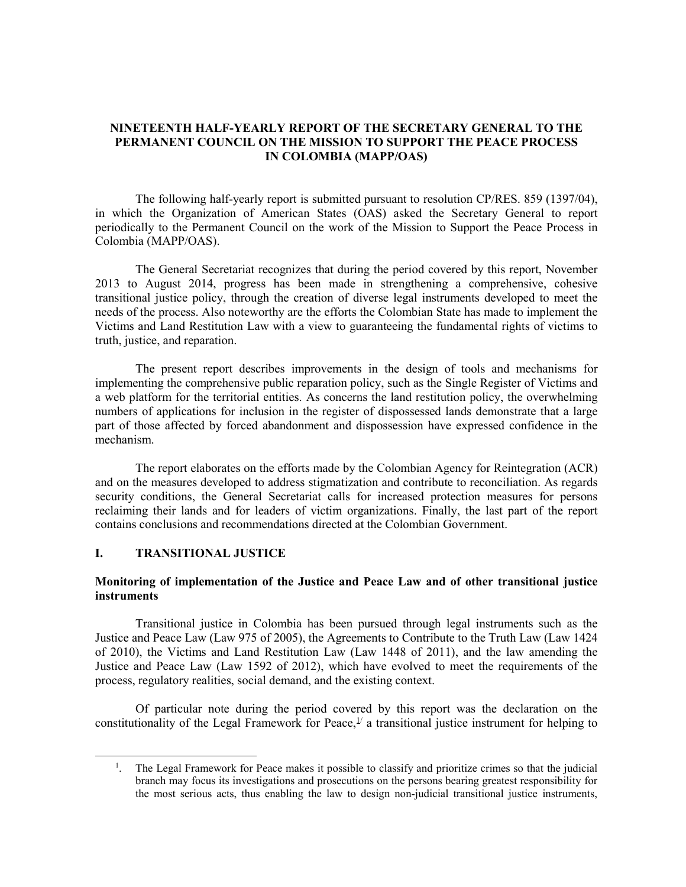## **NINETEENTH HALF-YEARLY REPORT OF THE SECRETARY GENERAL TO THE PERMANENT COUNCIL ON THE MISSION TO SUPPORT THE PEACE PROCESS IN COLOMBIA (MAPP/OAS)**

The following half-yearly report is submitted pursuant to resolution CP/RES. 859 (1397/04), in which the Organization of American States (OAS) asked the Secretary General to report periodically to the Permanent Council on the work of the Mission to Support the Peace Process in Colombia (MAPP/OAS).

The General Secretariat recognizes that during the period covered by this report, November 2013 to August 2014, progress has been made in strengthening a comprehensive, cohesive transitional justice policy, through the creation of diverse legal instruments developed to meet the needs of the process. Also noteworthy are the efforts the Colombian State has made to implement the Victims and Land Restitution Law with a view to guaranteeing the fundamental rights of victims to truth, justice, and reparation.

The present report describes improvements in the design of tools and mechanisms for implementing the comprehensive public reparation policy, such as the Single Register of Victims and a web platform for the territorial entities. As concerns the land restitution policy, the overwhelming numbers of applications for inclusion in the register of dispossessed lands demonstrate that a large part of those affected by forced abandonment and dispossession have expressed confidence in the mechanism.

The report elaborates on the efforts made by the Colombian Agency for Reintegration (ACR) and on the measures developed to address stigmatization and contribute to reconciliation. As regards security conditions, the General Secretariat calls for increased protection measures for persons reclaiming their lands and for leaders of victim organizations. Finally, the last part of the report contains conclusions and recommendations directed at the Colombian Government.

## **I. TRANSITIONAL JUSTICE**

# **Monitoring of implementation of the Justice and Peace Law and of other transitional justice instruments**

Transitional justice in Colombia has been pursued through legal instruments such as the Justice and Peace Law (Law 975 of 2005), the Agreements to Contribute to the Truth Law (Law 1424 of 2010), the Victims and Land Restitution Law (Law 1448 of 2011), and the law amending the Justice and Peace Law (Law 1592 of 2012), which have evolved to meet the requirements of the process, regulatory realities, social demand, and the existing context.

Of particular note during the period covered by this report was the declaration on the constitutionality of the Legal Framework for Peace,  $\frac{1}{2}$  a transitional justice instrument for helping to

<span id="page-1-0"></span> $\frac{1}{1}$ <sup>1</sup>. The Legal Framework for Peace makes it possible to classify and prioritize crimes so that the judicial branch may focus its investigations and prosecutions on the persons bearing greatest responsibility for the most serious acts, thus enabling the law to design non-judicial transitional justice instruments,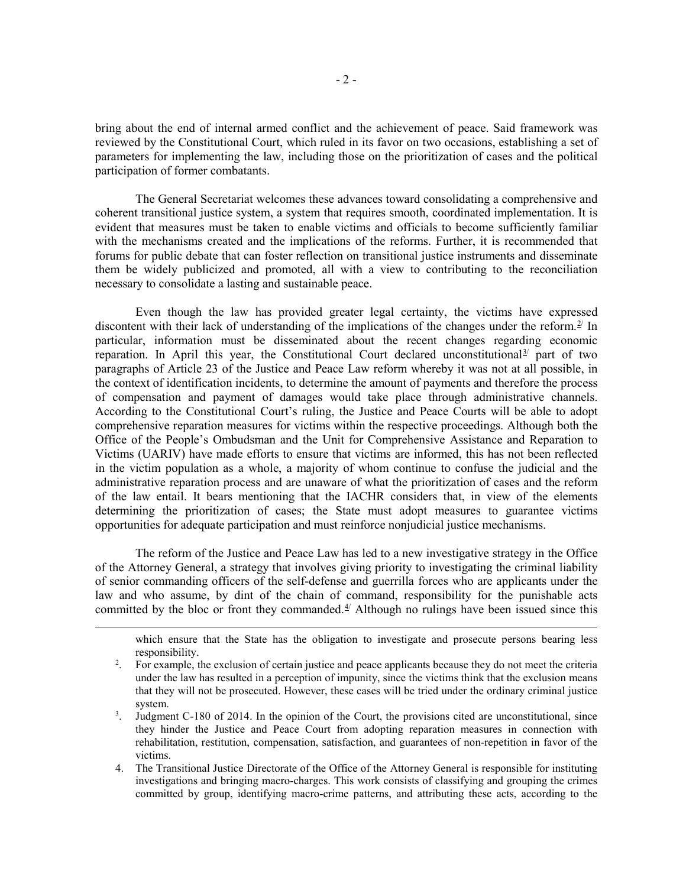bring about the end of internal armed conflict and the achievement of peace. Said framework was reviewed by the Constitutional Court, which ruled in its favor on two occasions, establishing a set of parameters for implementing the law, including those on the prioritization of cases and the political participation of former combatants.

The General Secretariat welcomes these advances toward consolidating a comprehensive and coherent transitional justice system, a system that requires smooth, coordinated implementation. It is evident that measures must be taken to enable victims and officials to become sufficiently familiar with the mechanisms created and the implications of the reforms. Further, it is recommended that forums for public debate that can foster reflection on transitional justice instruments and disseminate them be widely publicized and promoted, all with a view to contributing to the reconciliation necessary to consolidate a lasting and sustainable peace.

Even though the law has provided greater legal certainty, the victims have expressed discontent with their lack of understanding of the implications of the changes under the reform.<sup>[2/](#page-2-0)</sup> In particular, information must be disseminated about the recent changes regarding economic reparation. In April this year, the Constitutional Court declared unconstitutional<sup>[3](#page-2-1)/</sup> part of two paragraphs of Article 23 of the Justice and Peace Law reform whereby it was not at all possible, in the context of identification incidents, to determine the amount of payments and therefore the process of compensation and payment of damages would take place through administrative channels. According to the Constitutional Court's ruling, the Justice and Peace Courts will be able to adopt comprehensive reparation measures for victims within the respective proceedings. Although both the Office of the People's Ombudsman and the Unit for Comprehensive Assistance and Reparation to Victims (UARIV) have made efforts to ensure that victims are informed, this has not been reflected in the victim population as a whole, a majority of whom continue to confuse the judicial and the administrative reparation process and are unaware of what the prioritization of cases and the reform of the law entail. It bears mentioning that the IACHR considers that, in view of the elements determining the prioritization of cases; the State must adopt measures to guarantee victims opportunities for adequate participation and must reinforce nonjudicial justice mechanisms.

The reform of the Justice and Peace Law has led to a new investigative strategy in the Office of the Attorney General, a strategy that involves giving priority to investigating the criminal liability of senior commanding officers of the self-defense and guerrilla forces who are applicants under the law and who assume, by dint of the chain of command, responsibility for the punishable acts committed by the bloc or front they commanded. $4/$  $4/$  Although no rulings have been issued since this

<span id="page-2-0"></span> $\overline{a}$ 

which ensure that the State has the obligation to investigate and prosecute persons bearing less responsibility.

<sup>&</sup>lt;sup>2</sup>. For example, the exclusion of certain justice and peace applicants because they do not meet the criteria under the law has resulted in a perception of impunity, since the victims think that the exclusion means that they will not be prosecuted. However, these cases will be tried under the ordinary criminal justice system.

<span id="page-2-1"></span><sup>3</sup> . Judgment C-180 of 2014. In the opinion of the Court, the provisions cited are unconstitutional, since they hinder the Justice and Peace Court from adopting reparation measures in connection with rehabilitation, restitution, compensation, satisfaction, and guarantees of non-repetition in favor of the victims.

<span id="page-2-2"></span><sup>4.</sup> The Transitional Justice Directorate of the Office of the Attorney General is responsible for instituting investigations and bringing macro-charges. This work consists of classifying and grouping the crimes committed by group, identifying macro-crime patterns, and attributing these acts, according to the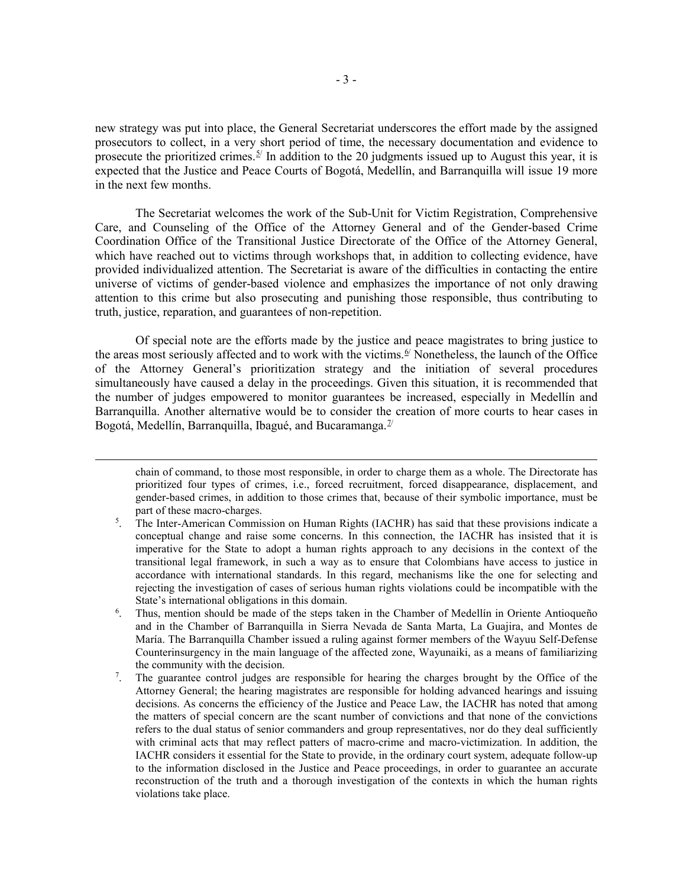new strategy was put into place, the General Secretariat underscores the effort made by the assigned prosecutors to collect, in a very short period of time, the necessary documentation and evidence to prosecute the prioritized crimes.<sup> $5/$  $5/$ </sup> In addition to the 20 judgments issued up to August this year, it is expected that the Justice and Peace Courts of Bogotá, Medellín, and Barranquilla will issue 19 more in the next few months.

The Secretariat welcomes the work of the Sub-Unit for Victim Registration, Comprehensive Care, and Counseling of the Office of the Attorney General and of the Gender-based Crime Coordination Office of the Transitional Justice Directorate of the Office of the Attorney General, which have reached out to victims through workshops that, in addition to collecting evidence, have provided individualized attention. The Secretariat is aware of the difficulties in contacting the entire universe of victims of gender-based violence and emphasizes the importance of not only drawing attention to this crime but also prosecuting and punishing those responsible, thus contributing to truth, justice, reparation, and guarantees of non-repetition.

Of special note are the efforts made by the justice and peace magistrates to bring justice to the areas most seriously affected and to work with the victims.<sup>[6/](#page-3-1)</sup> Nonetheless, the launch of the Office of the Attorney General's prioritization strategy and the initiation of several procedures simultaneously have caused a delay in the proceedings. Given this situation, it is recommended that the number of judges empowered to monitor guarantees be increased, especially in Medellín and Barranquilla. Another alternative would be to consider the creation of more courts to hear cases in Bogotá, Medellín, Barranquilla, Ibagué, and Bucaramanga. $\mathbb{Z}$ 

 $\overline{a}$ 

chain of command, to those most responsible, in order to charge them as a whole. The Directorate has prioritized four types of crimes, i.e., forced recruitment, forced disappearance, displacement, and gender-based crimes, in addition to those crimes that, because of their symbolic importance, must be part of these macro-charges.

- <span id="page-3-1"></span>6 . Thus, mention should be made of the steps taken in the Chamber of Medellín in Oriente Antioqueño and in the Chamber of Barranquilla in Sierra Nevada de Santa Marta, La Guajira, and Montes de María. The Barranquilla Chamber issued a ruling against former members of the Wayuu Self-Defense Counterinsurgency in the main language of the affected zone, Wayunaiki, as a means of familiarizing the community with the decision.
- <span id="page-3-2"></span>7 . The guarantee control judges are responsible for hearing the charges brought by the Office of the Attorney General; the hearing magistrates are responsible for holding advanced hearings and issuing decisions. As concerns the efficiency of the Justice and Peace Law, the IACHR has noted that among the matters of special concern are the scant number of convictions and that none of the convictions refers to the dual status of senior commanders and group representatives, nor do they deal sufficiently with criminal acts that may reflect patters of macro-crime and macro-victimization. In addition, the IACHR considers it essential for the State to provide, in the ordinary court system, adequate follow-up to the information disclosed in the Justice and Peace proceedings, in order to guarantee an accurate reconstruction of the truth and a thorough investigation of the contexts in which the human rights violations take place.

<span id="page-3-0"></span><sup>5</sup> . The Inter-American Commission on Human Rights (IACHR) has said that these provisions indicate a conceptual change and raise some concerns. In this connection, the IACHR has insisted that it is imperative for the State to adopt a human rights approach to any decisions in the context of the transitional legal framework, in such a way as to ensure that Colombians have access to justice in accordance with international standards. In this regard, mechanisms like the one for selecting and rejecting the investigation of cases of serious human rights violations could be incompatible with the State's international obligations in this domain.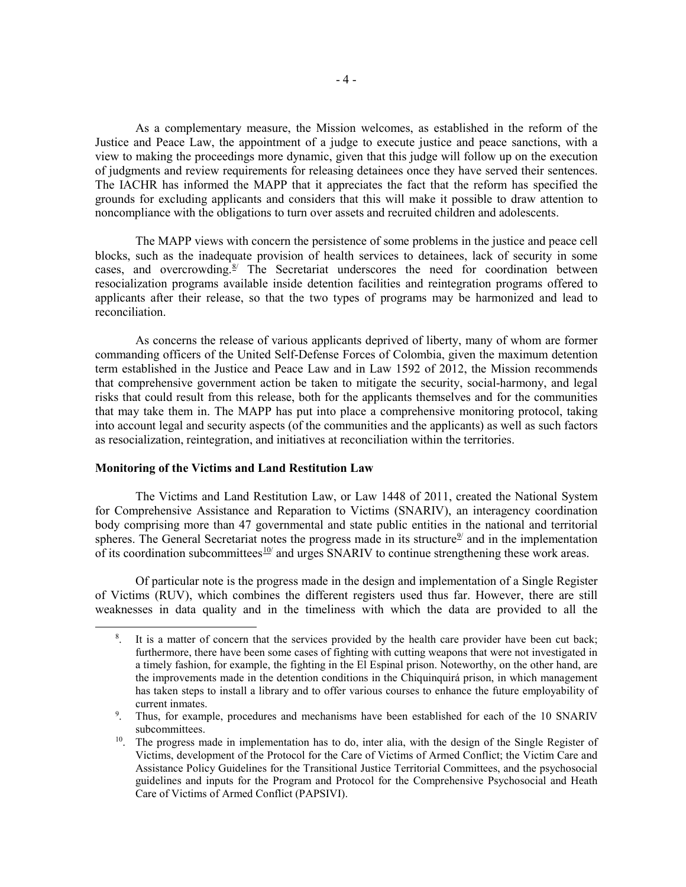As a complementary measure, the Mission welcomes, as established in the reform of the Justice and Peace Law, the appointment of a judge to execute justice and peace sanctions, with a view to making the proceedings more dynamic, given that this judge will follow up on the execution of judgments and review requirements for releasing detainees once they have served their sentences. The IACHR has informed the MAPP that it appreciates the fact that the reform has specified the grounds for excluding applicants and considers that this will make it possible to draw attention to noncompliance with the obligations to turn over assets and recruited children and adolescents.

The MAPP views with concern the persistence of some problems in the justice and peace cell blocks, such as the inadequate provision of health services to detainees, lack of security in some cases, and overcrowding. $8^{8}$  The Secretariat underscores the need for coordination between resocialization programs available inside detention facilities and reintegration programs offered to applicants after their release, so that the two types of programs may be harmonized and lead to reconciliation.

As concerns the release of various applicants deprived of liberty, many of whom are former commanding officers of the United Self-Defense Forces of Colombia, given the maximum detention term established in the Justice and Peace Law and in Law 1592 of 2012, the Mission recommends that comprehensive government action be taken to mitigate the security, social-harmony, and legal risks that could result from this release, both for the applicants themselves and for the communities that may take them in. The MAPP has put into place a comprehensive monitoring protocol, taking into account legal and security aspects (of the communities and the applicants) as well as such factors as resocialization, reintegration, and initiatives at reconciliation within the territories.

### **Monitoring of the Victims and Land Restitution Law**

The Victims and Land Restitution Law, or Law 1448 of 2011, created the National System for Comprehensive Assistance and Reparation to Victims (SNARIV), an interagency coordination body comprising more than 47 governmental and state public entities in the national and territorial spheres. The General Secretariat notes the progress made in its structure<sup>9</sup> and in the implementation of its coordination subcommittees  $\frac{10}{4}$  and urges SNARIV to continue strengthening these work areas.

<span id="page-4-0"></span>Of particular note is the progress made in the design and implementation of a Single Register of Victims (RUV), which combines the different registers used thus far. However, there are still weaknesses in data quality and in the timeliness with which the data are provided to all the

 <sup>8</sup> . It is a matter of concern that the services provided by the health care provider have been cut back; furthermore, there have been some cases of fighting with cutting weapons that were not investigated in a timely fashion, for example, the fighting in the El Espinal prison. Noteworthy, on the other hand, are the improvements made in the detention conditions in the Chiquinquirá prison, in which management has taken steps to install a library and to offer various courses to enhance the future employability of current inmates.

<span id="page-4-1"></span><sup>&</sup>lt;sup>9</sup>. Thus, for example, procedures and mechanisms have been established for each of the 10 SNARIV subcommittees.

<span id="page-4-2"></span><sup>&</sup>lt;sup>10</sup>. The progress made in implementation has to do, inter alia, with the design of the Single Register of Victims, development of the Protocol for the Care of Victims of Armed Conflict; the Victim Care and Assistance Policy Guidelines for the Transitional Justice Territorial Committees, and the psychosocial guidelines and inputs for the Program and Protocol for the Comprehensive Psychosocial and Heath Care of Victims of Armed Conflict (PAPSIVI).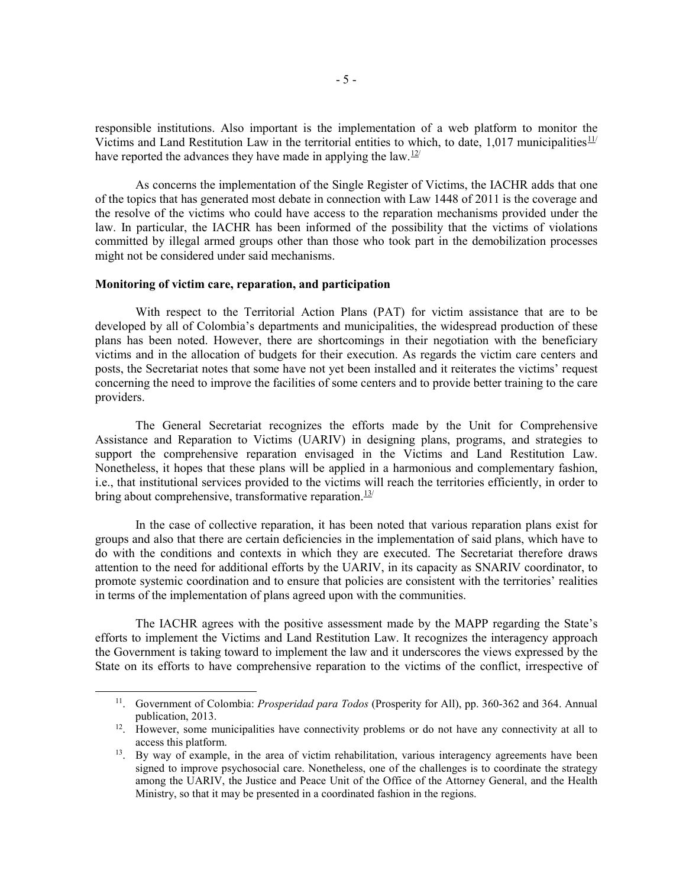responsible institutions. Also important is the implementation of a web platform to monitor the Victims and Land Restitution Law in the territorial entities to which, to date, 1,017 municipalities $11/$ have reported the advances they have made in applying the law.<sup>[12/](#page-5-1)</sup>

As concerns the implementation of the Single Register of Victims, the IACHR adds that one of the topics that has generated most debate in connection with Law 1448 of 2011 is the coverage and the resolve of the victims who could have access to the reparation mechanisms provided under the law. In particular, the IACHR has been informed of the possibility that the victims of violations committed by illegal armed groups other than those who took part in the demobilization processes might not be considered under said mechanisms.

#### **Monitoring of victim care, reparation, and participation**

With respect to the Territorial Action Plans (PAT) for victim assistance that are to be developed by all of Colombia's departments and municipalities, the widespread production of these plans has been noted. However, there are shortcomings in their negotiation with the beneficiary victims and in the allocation of budgets for their execution. As regards the victim care centers and posts, the Secretariat notes that some have not yet been installed and it reiterates the victims' request concerning the need to improve the facilities of some centers and to provide better training to the care providers.

The General Secretariat recognizes the efforts made by the Unit for Comprehensive Assistance and Reparation to Victims (UARIV) in designing plans, programs, and strategies to support the comprehensive reparation envisaged in the Victims and Land Restitution Law. Nonetheless, it hopes that these plans will be applied in a harmonious and complementary fashion, i.e., that institutional services provided to the victims will reach the territories efficiently, in order to bring about comprehensive, transformative reparation. $13/1$  $13/1$ 

In the case of collective reparation, it has been noted that various reparation plans exist for groups and also that there are certain deficiencies in the implementation of said plans, which have to do with the conditions and contexts in which they are executed. The Secretariat therefore draws attention to the need for additional efforts by the UARIV, in its capacity as SNARIV coordinator, to promote systemic coordination and to ensure that policies are consistent with the territories' realities in terms of the implementation of plans agreed upon with the communities.

The IACHR agrees with the positive assessment made by the MAPP regarding the State's efforts to implement the Victims and Land Restitution Law. It recognizes the interagency approach the Government is taking toward to implement the law and it underscores the views expressed by the State on its efforts to have comprehensive reparation to the victims of the conflict, irrespective of

<span id="page-5-0"></span> <sup>11.</sup> Government of Colombia: *Prosperidad para Todos* (Prosperity for All), pp. 360-362 and 364. Annual publication, 2013.

<span id="page-5-1"></span><sup>&</sup>lt;sup>12</sup>. However, some municipalities have connectivity problems or do not have any connectivity at all to access this platform.

<span id="page-5-2"></span> $13.$  By way of example, in the area of victim rehabilitation, various interagency agreements have been signed to improve psychosocial care. Nonetheless, one of the challenges is to coordinate the strategy among the UARIV, the Justice and Peace Unit of the Office of the Attorney General, and the Health Ministry, so that it may be presented in a coordinated fashion in the regions.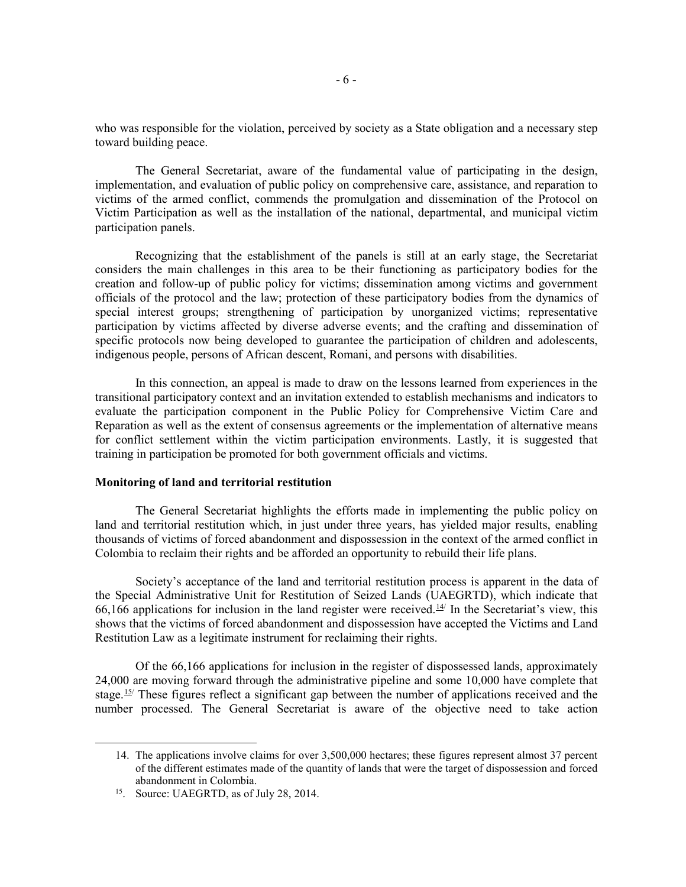who was responsible for the violation, perceived by society as a State obligation and a necessary step toward building peace.

The General Secretariat, aware of the fundamental value of participating in the design, implementation, and evaluation of public policy on comprehensive care, assistance, and reparation to victims of the armed conflict, commends the promulgation and dissemination of the Protocol on Victim Participation as well as the installation of the national, departmental, and municipal victim participation panels.

Recognizing that the establishment of the panels is still at an early stage, the Secretariat considers the main challenges in this area to be their functioning as participatory bodies for the creation and follow-up of public policy for victims; dissemination among victims and government officials of the protocol and the law; protection of these participatory bodies from the dynamics of special interest groups; strengthening of participation by unorganized victims; representative participation by victims affected by diverse adverse events; and the crafting and dissemination of specific protocols now being developed to guarantee the participation of children and adolescents, indigenous people, persons of African descent, Romani, and persons with disabilities.

In this connection, an appeal is made to draw on the lessons learned from experiences in the transitional participatory context and an invitation extended to establish mechanisms and indicators to evaluate the participation component in the Public Policy for Comprehensive Victim Care and Reparation as well as the extent of consensus agreements or the implementation of alternative means for conflict settlement within the victim participation environments. Lastly, it is suggested that training in participation be promoted for both government officials and victims.

#### **Monitoring of land and territorial restitution**

The General Secretariat highlights the efforts made in implementing the public policy on land and territorial restitution which, in just under three years, has yielded major results, enabling thousands of victims of forced abandonment and dispossession in the context of the armed conflict in Colombia to reclaim their rights and be afforded an opportunity to rebuild their life plans.

Society's acceptance of the land and territorial restitution process is apparent in the data of the Special Administrative Unit for Restitution of Seized Lands (UAEGRTD), which indicate that 66,166 applications for inclusion in the land register were received.<sup>[14](#page-6-0)/</sup> In the Secretariat's view, this shows that the victims of forced abandonment and dispossession have accepted the Victims and Land Restitution Law as a legitimate instrument for reclaiming their rights.

Of the 66,166 applications for inclusion in the register of dispossessed lands, approximately 24,000 are moving forward through the administrative pipeline and some 10,000 have complete that stage.<sup>[15/](#page-6-1)</sup> These figures reflect a significant gap between the number of applications received and the number processed. The General Secretariat is aware of the objective need to take action

<span id="page-6-1"></span><span id="page-6-0"></span> $\overline{a}$ 

<sup>14.</sup> The applications involve claims for over 3,500,000 hectares; these figures represent almost 37 percent of the different estimates made of the quantity of lands that were the target of dispossession and forced abandonment in Colombia.

<sup>&</sup>lt;sup>15</sup>. Source: UAEGRTD, as of July 28, 2014.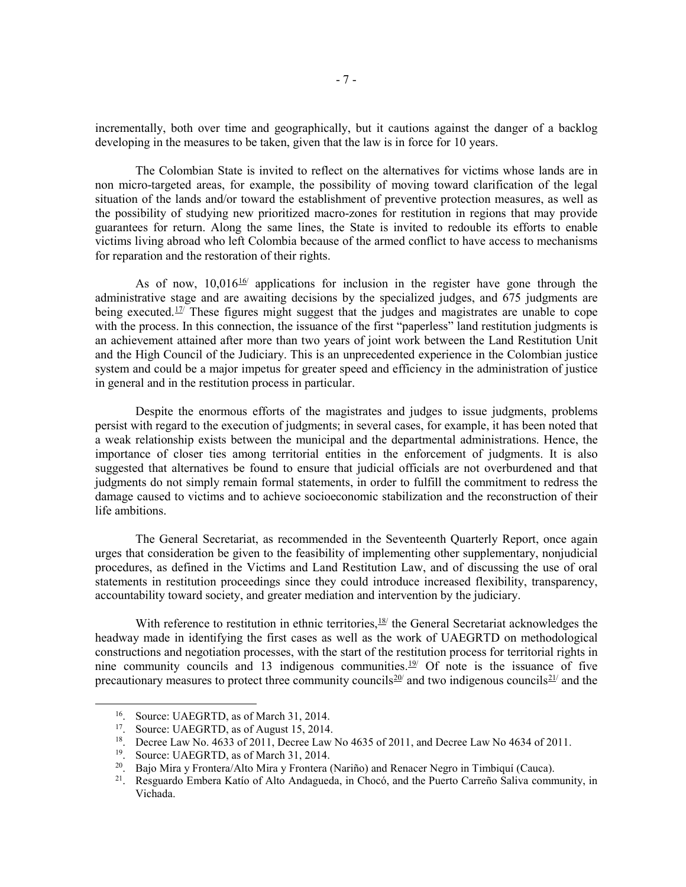incrementally, both over time and geographically, but it cautions against the danger of a backlog developing in the measures to be taken, given that the law is in force for 10 years.

The Colombian State is invited to reflect on the alternatives for victims whose lands are in non micro-targeted areas, for example, the possibility of moving toward clarification of the legal situation of the lands and/or toward the establishment of preventive protection measures, as well as the possibility of studying new prioritized macro-zones for restitution in regions that may provide guarantees for return. Along the same lines, the State is invited to redouble its efforts to enable victims living abroad who left Colombia because of the armed conflict to have access to mechanisms for reparation and the restoration of their rights.

As of now,  $10,016$ <sup>[16/](#page-7-0)</sup> applications for inclusion in the register have gone through the administrative stage and are awaiting decisions by the specialized judges, and 675 judgments are being executed.<sup>[17](#page-7-1)/</sup> These figures might suggest that the judges and magistrates are unable to cope with the process. In this connection, the issuance of the first "paperless" land restitution judgments is an achievement attained after more than two years of joint work between the Land Restitution Unit and the High Council of the Judiciary. This is an unprecedented experience in the Colombian justice system and could be a major impetus for greater speed and efficiency in the administration of justice in general and in the restitution process in particular.

Despite the enormous efforts of the magistrates and judges to issue judgments, problems persist with regard to the execution of judgments; in several cases, for example, it has been noted that a weak relationship exists between the municipal and the departmental administrations. Hence, the importance of closer ties among territorial entities in the enforcement of judgments. It is also suggested that alternatives be found to ensure that judicial officials are not overburdened and that judgments do not simply remain formal statements, in order to fulfill the commitment to redress the damage caused to victims and to achieve socioeconomic stabilization and the reconstruction of their life ambitions.

The General Secretariat, as recommended in the Seventeenth Quarterly Report, once again urges that consideration be given to the feasibility of implementing other supplementary, nonjudicial procedures, as defined in the Victims and Land Restitution Law, and of discussing the use of oral statements in restitution proceedings since they could introduce increased flexibility, transparency, accountability toward society, and greater mediation and intervention by the judiciary.

With reference to restitution in ethnic territories,  $\frac{18}{2}$  the General Secretariat acknowledges the headway made in identifying the first cases as well as the work of UAEGRTD on methodological constructions and negotiation processes, with the start of the restitution process for territorial rights in nine community councils and 13 indigenous communities.<sup>[19/](#page-7-3)</sup> Of note is the issuance of five precautionary measures to protect three community councils<sup>[20/](#page-7-4)</sup> and two indigenous councils<sup>[21/](#page-7-5)</sup> and the

<span id="page-7-0"></span> <sup>16.</sup> Source: UAEGRTD, as of March 31, 2014.

<span id="page-7-1"></span><sup>&</sup>lt;sup>17</sup>. Source: UAEGRTD, as of August 15, 2014.

<span id="page-7-3"></span><span id="page-7-2"></span><sup>&</sup>lt;sup>18</sup>. Decree Law No. 4633 of 2011, Decree Law No 4635 of 2011, and Decree Law No 4634 of 2011.<br><sup>19</sup>. Source: UAEGRTD, as of March 31, 2014.

<span id="page-7-4"></span><sup>&</sup>lt;sup>20</sup>. Bajo Mira y Frontera/Alto Mira y Frontera (Nariño) and Renacer Negro in Timbiquí (Cauca).<br><sup>21</sup>. Resguardo Embera Katío of Alto Andagueda, in Chocó, and the Puerto Carreño Saliya comm

<span id="page-7-5"></span><sup>21.</sup> Resguardo Embera Katío of Alto Andagueda, in Chocó, and the Puerto Carreño Saliva community, in Vichada.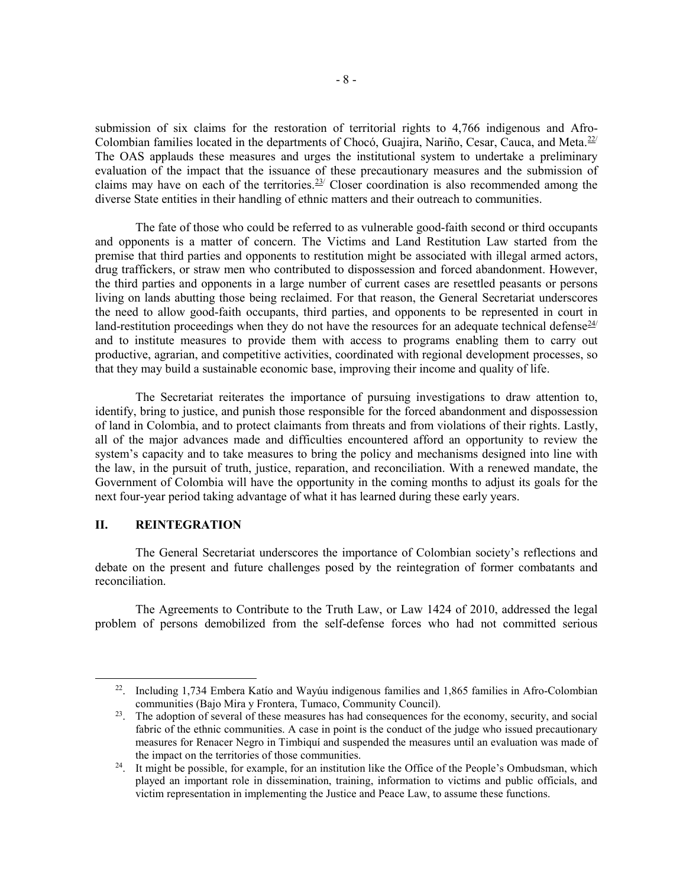submission of six claims for the restoration of territorial rights to 4,766 indigenous and Afro-Colombian families located in the departments of Chocó, Guajira, Nariño, Cesar, Cauca, and Meta.<sup>[22/](#page-8-0)</sup> The OAS applauds these measures and urges the institutional system to undertake a preliminary evaluation of the impact that the issuance of these precautionary measures and the submission of claims may have on each of the territories.<sup>23/</sup> Closer coordination is also recommended among the diverse State entities in their handling of ethnic matters and their outreach to communities.

The fate of those who could be referred to as vulnerable good-faith second or third occupants and opponents is a matter of concern. The Victims and Land Restitution Law started from the premise that third parties and opponents to restitution might be associated with illegal armed actors, drug traffickers, or straw men who contributed to dispossession and forced abandonment. However, the third parties and opponents in a large number of current cases are resettled peasants or persons living on lands abutting those being reclaimed. For that reason, the General Secretariat underscores the need to allow good-faith occupants, third parties, and opponents to be represented in court in land-restitution proceedings when they do not have the resources for an adequate technical defense $\frac{24}{1}$ and to institute measures to provide them with access to programs enabling them to carry out productive, agrarian, and competitive activities, coordinated with regional development processes, so that they may build a sustainable economic base, improving their income and quality of life.

The Secretariat reiterates the importance of pursuing investigations to draw attention to, identify, bring to justice, and punish those responsible for the forced abandonment and dispossession of land in Colombia, and to protect claimants from threats and from violations of their rights. Lastly, all of the major advances made and difficulties encountered afford an opportunity to review the system's capacity and to take measures to bring the policy and mechanisms designed into line with the law, in the pursuit of truth, justice, reparation, and reconciliation. With a renewed mandate, the Government of Colombia will have the opportunity in the coming months to adjust its goals for the next four-year period taking advantage of what it has learned during these early years.

## **II. REINTEGRATION**

The General Secretariat underscores the importance of Colombian society's reflections and debate on the present and future challenges posed by the reintegration of former combatants and reconciliation.

The Agreements to Contribute to the Truth Law, or Law 1424 of 2010, addressed the legal problem of persons demobilized from the self-defense forces who had not committed serious

<span id="page-8-0"></span> <sup>22.</sup> Including 1,734 Embera Katío and Wayúu indigenous families and 1,865 families in Afro-Colombian communities (Bajo Mira y Frontera, Tumaco, Community Council).

<span id="page-8-1"></span><sup>&</sup>lt;sup>23</sup>. The adoption of several of these measures has had consequences for the economy, security, and social fabric of the ethnic communities. A case in point is the conduct of the judge who issued precautionary measures for Renacer Negro in Timbiquí and suspended the measures until an evaluation was made of the impact on the territories of those communities.

<span id="page-8-2"></span> $24$ . It might be possible, for example, for an institution like the Office of the People's Ombudsman, which played an important role in dissemination, training, information to victims and public officials, and victim representation in implementing the Justice and Peace Law, to assume these functions.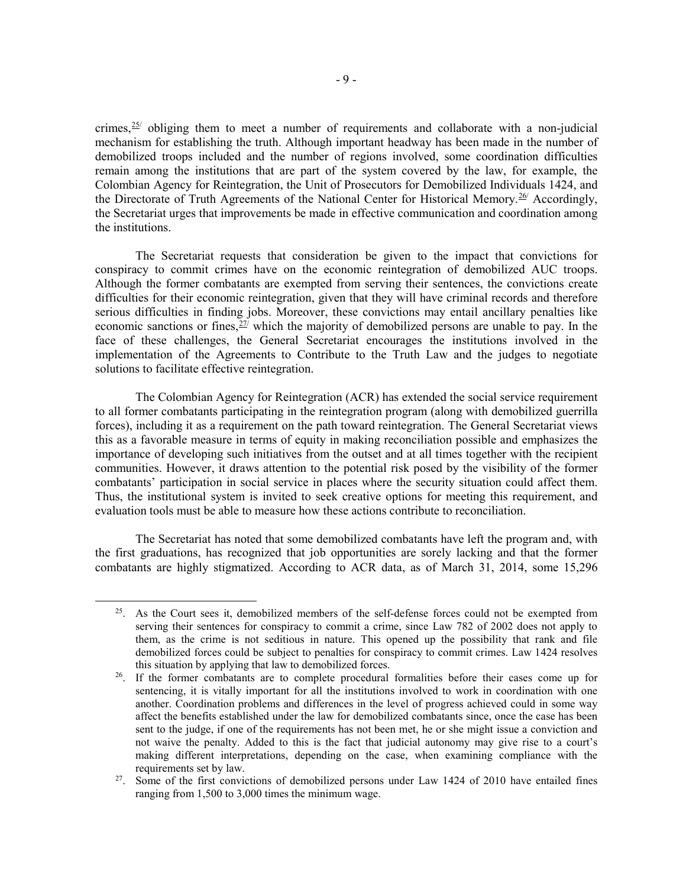crimes,  $25$  obliging them to meet a number of requirements and collaborate with a non-judicial mechanism for establishing the truth. Although important headway has been made in the number of demobilized troops included and the number of regions involved, some coordination difficulties remain among the institutions that are part of the system covered by the law, for example, the Colombian Agency for Reintegration, the Unit of Prosecutors for Demobilized Individuals 1424, and the Directorate of Truth Agreements of the National Center for Historical Memory.[26](#page-9-1)/ Accordingly, the Secretariat urges that improvements be made in effective communication and coordination among the institutions.

The Secretariat requests that consideration be given to the impact that convictions for conspiracy to commit crimes have on the economic reintegration of demobilized AUC troops. Although the former combatants are exempted from serving their sentences, the convictions create difficulties for their economic reintegration, given that they will have criminal records and therefore serious difficulties in finding jobs. Moreover, these convictions may entail ancillary penalties like economic sanctions or fines,  $27$  which the majority of demobilized persons are unable to pay. In the face of these challenges, the General Secretariat encourages the institutions involved in the implementation of the Agreements to Contribute to the Truth Law and the judges to negotiate solutions to facilitate effective reintegration.

The Colombian Agency for Reintegration (ACR) has extended the social service requirement to all former combatants participating in the reintegration program (along with demobilized guerrilla forces), including it as a requirement on the path toward reintegration. The General Secretariat views this as a favorable measure in terms of equity in making reconciliation possible and emphasizes the importance of developing such initiatives from the outset and at all times together with the recipient communities. However, it draws attention to the potential risk posed by the visibility of the former combatants' participation in social service in places where the security situation could affect them. Thus, the institutional system is invited to seek creative options for meeting this requirement, and evaluation tools must be able to measure how these actions contribute to reconciliation.

The Secretariat has noted that some demobilized combatants have left the program and, with the first graduations, has recognized that job opportunities are sorely lacking and that the former combatants are highly stigmatized. According to ACR data, as of March 31, 2014, some 15,296

<span id="page-9-0"></span><sup>&</sup>lt;sup>25</sup>. As the Court sees it, demobilized members of the self-defense forces could not be exempted from serving their sentences for conspiracy to commit a crime, since Law 782 of 2002 does not apply to them, as the crime is not seditious in nature. This opened up the possibility that rank and file demobilized forces could be subject to penalties for conspiracy to commit crimes. Law 1424 resolves this situation by applying that law to demobilized forces.<br><sup>26</sup>. If the former combatants are to complete procedural formalities before their cases come up for

<span id="page-9-1"></span>sentencing, it is vitally important for all the institutions involved to work in coordination with one another. Coordination problems and differences in the level of progress achieved could in some way affect the benefits established under the law for demobilized combatants since, once the case has been sent to the judge, if one of the requirements has not been met, he or she might issue a conviction and not waive the penalty. Added to this is the fact that judicial autonomy may give rise to a court's making different interpretations, depending on the case, when examining compliance with the requirements set by law.<br><sup>27</sup>. Some of the first convictions of demobilized persons under Law 1424 of 2010 have entailed fines

<span id="page-9-2"></span>ranging from 1,500 to 3,000 times the minimum wage.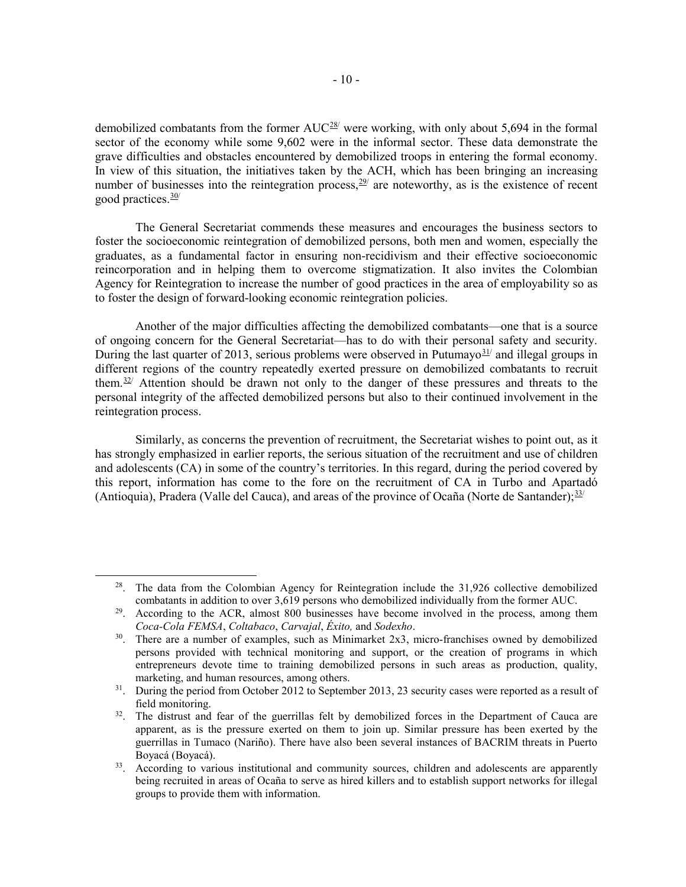demobilized combatants from the former  $AUC^{28}$  were working, with only about 5,694 in the formal sector of the economy while some 9,602 were in the informal sector. These data demonstrate the grave difficulties and obstacles encountered by demobilized troops in entering the formal economy. In view of this situation, the initiatives taken by the ACH, which has been bringing an increasing number of businesses into the reintegration process,  $29/2$  are noteworthy, as is the existence of recent good practices. $\frac{30}{ }$  $\frac{30}{ }$  $\frac{30}{ }$ 

The General Secretariat commends these measures and encourages the business sectors to foster the socioeconomic reintegration of demobilized persons, both men and women, especially the graduates, as a fundamental factor in ensuring non-recidivism and their effective socioeconomic reincorporation and in helping them to overcome stigmatization. It also invites the Colombian Agency for Reintegration to increase the number of good practices in the area of employability so as to foster the design of forward-looking economic reintegration policies.

Another of the major difficulties affecting the demobilized combatants—one that is a source of ongoing concern for the General Secretariat—has to do with their personal safety and security. During the last quarter of 2013, serious problems were observed in Putumayo $\frac{31}{4}$  $\frac{31}{4}$  $\frac{31}{4}$  and illegal groups in different regions of the country repeatedly exerted pressure on demobilized combatants to recruit them. $32$ <sup> $\mu$ </sup> Attention should be drawn not only to the danger of these pressures and threats to the personal integrity of the affected demobilized persons but also to their continued involvement in the reintegration process.

Similarly, as concerns the prevention of recruitment, the Secretariat wishes to point out, as it has strongly emphasized in earlier reports, the serious situation of the recruitment and use of children and adolescents (CA) in some of the country's territories. In this regard, during the period covered by this report, information has come to the fore on the recruitment of CA in Turbo and Apartadó (Antioquia), Pradera (Valle del Cauca), and areas of the province of Ocaña (Norte de Santander);  $33/$ 

<span id="page-10-0"></span><sup>&</sup>lt;sup>28</sup>. The data from the Colombian Agency for Reintegration include the  $31,926$  collective demobilized combatants in addition to over  $3.619$  persons who demobilized individually from the former AUC.

<span id="page-10-1"></span><sup>&</sup>lt;sup>29</sup>. According to the ACR, almost 800 businesses have become involved in the process, among them *Coca-Cola FEMSA*, *Coltabaco*, *Carvajal*, *Éxito,* and *Sodexho*. 30. There are a number of examples, such as Minimarket 2x3, micro-franchises owned by demobilized

<span id="page-10-2"></span>persons provided with technical monitoring and support, or the creation of programs in which entrepreneurs devote time to training demobilized persons in such areas as production, quality,

<span id="page-10-3"></span><sup>&</sup>lt;sup>31</sup>. During the period from October 2012 to September 2013, 23 security cases were reported as a result of field monitoring.

<span id="page-10-4"></span><sup>&</sup>lt;sup>32</sup>. The distrust and fear of the guerrillas felt by demobilized forces in the Department of Cauca are apparent, as is the pressure exerted on them to join up. Similar pressure has been exerted by the guerrillas in Tumaco (Nariño). There have also been several instances of BACRIM threats in Puerto Boyacá (Boyacá).

<span id="page-10-5"></span><sup>&</sup>lt;sup>33</sup>. According to various institutional and community sources, children and adolescents are apparently being recruited in areas of Ocaña to serve as hired killers and to establish support networks for illegal groups to provide them with information.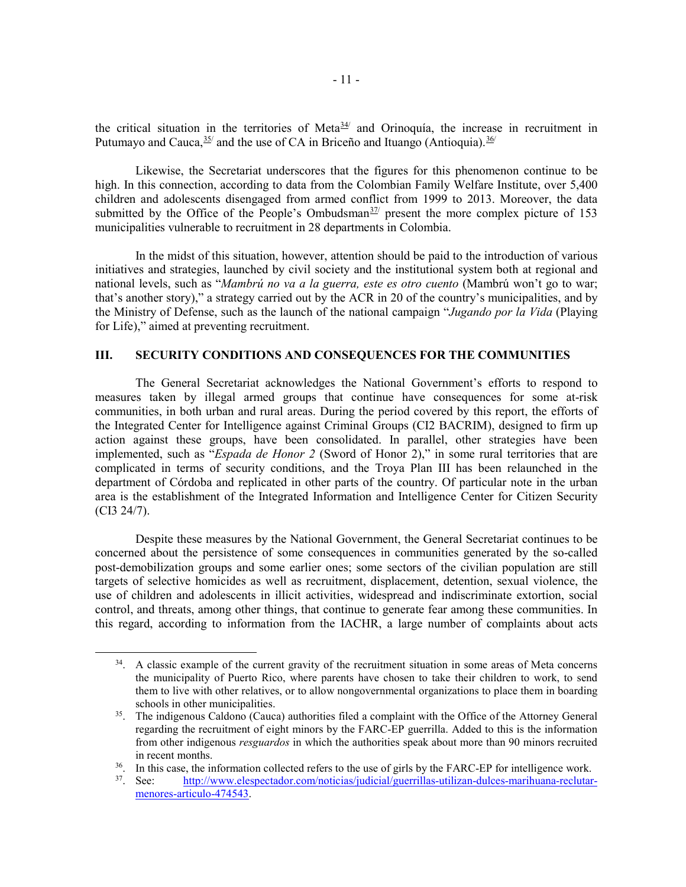the critical situation in the territories of Meta $\frac{34}{4}$  and Orinoquía, the increase in recruitment in Putumayo and Cauca,  $35/$  and the use of CA in Briceño and Ituango (Antioquia).  $36/$  $36/$ 

Likewise, the Secretariat underscores that the figures for this phenomenon continue to be high. In this connection, according to data from the Colombian Family Welfare Institute, over 5,400 children and adolescents disengaged from armed conflict from 1999 to 2013. Moreover, the data submitted by the Office of the People's Ombudsman<sup>[37](#page-11-3)/</sup> present the more complex picture of 153 municipalities vulnerable to recruitment in 28 departments in Colombia.

In the midst of this situation, however, attention should be paid to the introduction of various initiatives and strategies, launched by civil society and the institutional system both at regional and national levels, such as "*Mambrú no va a la guerra, este es otro cuento* (Mambrú won't go to war; that's another story)," a strategy carried out by the ACR in 20 of the country's municipalities, and by the Ministry of Defense, such as the launch of the national campaign "*Jugando por la Vida* (Playing for Life)," aimed at preventing recruitment.

## **III. SECURITY CONDITIONS AND CONSEQUENCES FOR THE COMMUNITIES**

The General Secretariat acknowledges the National Government's efforts to respond to measures taken by illegal armed groups that continue have consequences for some at-risk communities, in both urban and rural areas. During the period covered by this report, the efforts of the Integrated Center for Intelligence against Criminal Groups (CI2 BACRIM), designed to firm up action against these groups, have been consolidated. In parallel, other strategies have been implemented, such as "*Espada de Honor 2* (Sword of Honor 2)," in some rural territories that are complicated in terms of security conditions, and the Troya Plan III has been relaunched in the department of Córdoba and replicated in other parts of the country. Of particular note in the urban area is the establishment of the Integrated Information and Intelligence Center for Citizen Security (CI3 24/7).

Despite these measures by the National Government, the General Secretariat continues to be concerned about the persistence of some consequences in communities generated by the so-called post-demobilization groups and some earlier ones; some sectors of the civilian population are still targets of selective homicides as well as recruitment, displacement, detention, sexual violence, the use of children and adolescents in illicit activities, widespread and indiscriminate extortion, social control, and threats, among other things, that continue to generate fear among these communities. In this regard, according to information from the IACHR, a large number of complaints about acts

<span id="page-11-0"></span><sup>&</sup>lt;sup>34</sup>. A classic example of the current gravity of the recruitment situation in some areas of Meta concerns the municipality of Puerto Rico, where parents have chosen to take their children to work, to send them to live with other relatives, or to allow nongovernmental organizations to place them in boarding schools in other municipalities.

<span id="page-11-1"></span><sup>&</sup>lt;sup>35</sup>. The indigenous Caldono (Cauca) authorities filed a complaint with the Office of the Attorney General regarding the recruitment of eight minors by the FARC-EP guerrilla. Added to this is the information from other indigenous *resguardos* in which the authorities speak about more than 90 minors recruited in recent months.<br><sup>36</sup>. In this case, the information collected refers to the use of girls by the FARC-EP for intelligence work.<br><sup>37</sup>. See: http://www.elespectador.com/noticias/judicial/guerrillas-utilizan-dulces-marihuana

<span id="page-11-3"></span><span id="page-11-2"></span>

<sup>37.</sup> See: [http://www.elespectador.com/noticias/judicial/guerrillas-utilizan-dulces-marihuana-reclutar](http://www.elespectador.com/noticias/judicial/guerrillas-utilizan-dulces-marihuana-reclutar-menores-articulo-474543)[menores-articulo-474543.](http://www.elespectador.com/noticias/judicial/guerrillas-utilizan-dulces-marihuana-reclutar-menores-articulo-474543)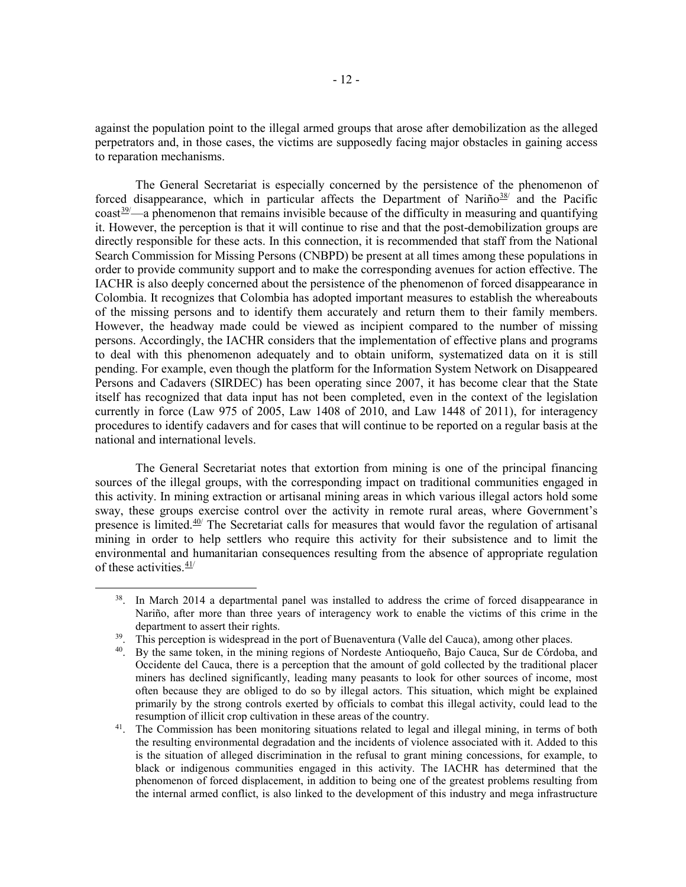against the population point to the illegal armed groups that arose after demobilization as the alleged perpetrators and, in those cases, the victims are supposedly facing major obstacles in gaining access to reparation mechanisms.

The General Secretariat is especially concerned by the persistence of the phenomenon of forced disappearance, which in particular affects the Department of Nariño $38/$  $38/$  and the Pacific  $\cos t^{39}$  $\cos t^{39}$  $\cos t^{39}$ —a phenomenon that remains invisible because of the difficulty in measuring and quantifying it. However, the perception is that it will continue to rise and that the post-demobilization groups are directly responsible for these acts. In this connection, it is recommended that staff from the National Search Commission for Missing Persons (CNBPD) be present at all times among these populations in order to provide community support and to make the corresponding avenues for action effective. The IACHR is also deeply concerned about the persistence of the phenomenon of forced disappearance in Colombia. It recognizes that Colombia has adopted important measures to establish the whereabouts of the missing persons and to identify them accurately and return them to their family members. However, the headway made could be viewed as incipient compared to the number of missing persons. Accordingly, the IACHR considers that the implementation of effective plans and programs to deal with this phenomenon adequately and to obtain uniform, systematized data on it is still pending. For example, even though the platform for the Information System Network on Disappeared Persons and Cadavers (SIRDEC) has been operating since 2007, it has become clear that the State itself has recognized that data input has not been completed, even in the context of the legislation currently in force (Law 975 of 2005, Law 1408 of 2010, and Law 1448 of 2011), for interagency procedures to identify cadavers and for cases that will continue to be reported on a regular basis at the national and international levels.

The General Secretariat notes that extortion from mining is one of the principal financing sources of the illegal groups, with the corresponding impact on traditional communities engaged in this activity. In mining extraction or artisanal mining areas in which various illegal actors hold some sway, these groups exercise control over the activity in remote rural areas, where Government's presence is limited. $40/$  $40/$  The Secretariat calls for measures that would favor the regulation of artisanal mining in order to help settlers who require this activity for their subsistence and to limit the environmental and humanitarian consequences resulting from the absence of appropriate regulation of these activities.  $\frac{41}{1}$  $\frac{41}{1}$  $\frac{41}{1}$ 

<span id="page-12-0"></span><sup>&</sup>lt;sup>38</sup>. In March 2014 a departmental panel was installed to address the crime of forced disappearance in Nariño, after more than three years of interagency work to enable the victims of this crime in the department to assert their rights.

<span id="page-12-1"></span><sup>&</sup>lt;sup>39</sup>. This perception is widespread in the port of Buenaventura (Valle del Cauca), among other places.

<span id="page-12-2"></span><sup>40.</sup> By the same token, in the mining regions of Nordeste Antioqueño, Bajo Cauca, Sur de Córdoba, and Occidente del Cauca, there is a perception that the amount of gold collected by the traditional placer miners has declined significantly, leading many peasants to look for other sources of income, most often because they are obliged to do so by illegal actors. This situation, which might be explained primarily by the strong controls exerted by officials to combat this illegal activity, could lead to the resumption of illicit crop cultivation in these areas of the country.

<span id="page-12-3"></span><sup>&</sup>lt;sup>41</sup>. The Commission has been monitoring situations related to legal and illegal mining, in terms of both the resulting environmental degradation and the incidents of violence associated with it. Added to this is the situation of alleged discrimination in the refusal to grant mining concessions, for example, to black or indigenous communities engaged in this activity. The IACHR has determined that the phenomenon of forced displacement, in addition to being one of the greatest problems resulting from the internal armed conflict, is also linked to the development of this industry and mega infrastructure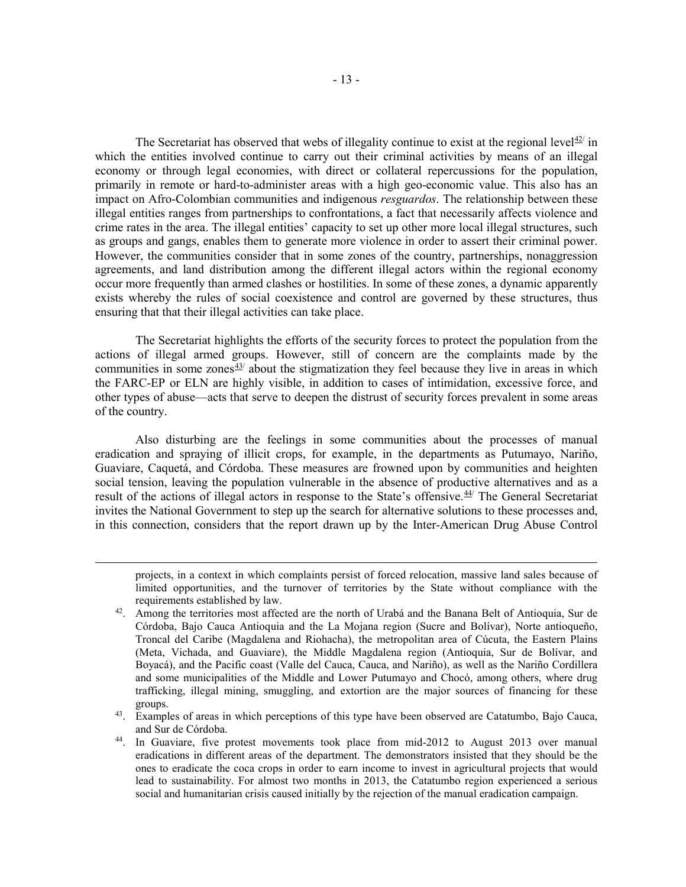The Secretariat has observed that webs of illegality continue to exist at the regional level  $42$  in which the entities involved continue to carry out their criminal activities by means of an illegal economy or through legal economies, with direct or collateral repercussions for the population, primarily in remote or hard-to-administer areas with a high geo-economic value. This also has an impact on Afro-Colombian communities and indigenous *resguardos*. The relationship between these illegal entities ranges from partnerships to confrontations, a fact that necessarily affects violence and crime rates in the area. The illegal entities' capacity to set up other more local illegal structures, such as groups and gangs, enables them to generate more violence in order to assert their criminal power. However, the communities consider that in some zones of the country, partnerships, nonaggression agreements, and land distribution among the different illegal actors within the regional economy occur more frequently than armed clashes or hostilities. In some of these zones, a dynamic apparently exists whereby the rules of social coexistence and control are governed by these structures, thus ensuring that that their illegal activities can take place.

The Secretariat highlights the efforts of the security forces to protect the population from the actions of illegal armed groups. However, still of concern are the complaints made by the communities in some zones $43/$  about the stigmatization they feel because they live in areas in which the FARC-EP or ELN are highly visible, in addition to cases of intimidation, excessive force, and other types of abuse—acts that serve to deepen the distrust of security forces prevalent in some areas of the country.

Also disturbing are the feelings in some communities about the processes of manual eradication and spraying of illicit crops, for example, in the departments as Putumayo, Nariño, Guaviare, Caquetá, and Córdoba. These measures are frowned upon by communities and heighten social tension, leaving the population vulnerable in the absence of productive alternatives and as a result of the actions of illegal actors in response to the State's offensive.<sup>[44](#page-13-2)/</sup> The General Secretariat invites the National Government to step up the search for alternative solutions to these processes and, in this connection, considers that the report drawn up by the Inter-American Drug Abuse Control

<span id="page-13-0"></span> $\overline{a}$ 

projects, in a context in which complaints persist of forced relocation, massive land sales because of limited opportunities, and the turnover of territories by the State without compliance with the requirements established by law.

<sup>&</sup>lt;sup>42</sup>. Among the territories most affected are the north of Urabá and the Banana Belt of Antioquia, Sur de Córdoba, Bajo Cauca Antioquia and the La Mojana region (Sucre and Bolívar), Norte antioqueño, Troncal del Caribe (Magdalena and Riohacha), the metropolitan area of Cúcuta, the Eastern Plains (Meta, Vichada, and Guaviare), the Middle Magdalena region (Antioquia, Sur de Bolívar, and Boyacá), and the Pacific coast (Valle del Cauca, Cauca, and Nariño), as well as the Nariño Cordillera and some municipalities of the Middle and Lower Putumayo and Chocó, among others, where drug trafficking, illegal mining, smuggling, and extortion are the major sources of financing for these groups.

<span id="page-13-1"></span><sup>&</sup>lt;sup>43</sup>. Examples of areas in which perceptions of this type have been observed are Catatumbo, Bajo Cauca, and Sur de Córdoba. 44. In Guaviare, five protest movements took place from mid-2012 to August 2013 over manual

<span id="page-13-2"></span>eradications in different areas of the department. The demonstrators insisted that they should be the ones to eradicate the coca crops in order to earn income to invest in agricultural projects that would lead to sustainability. For almost two months in 2013, the Catatumbo region experienced a serious social and humanitarian crisis caused initially by the rejection of the manual eradication campaign.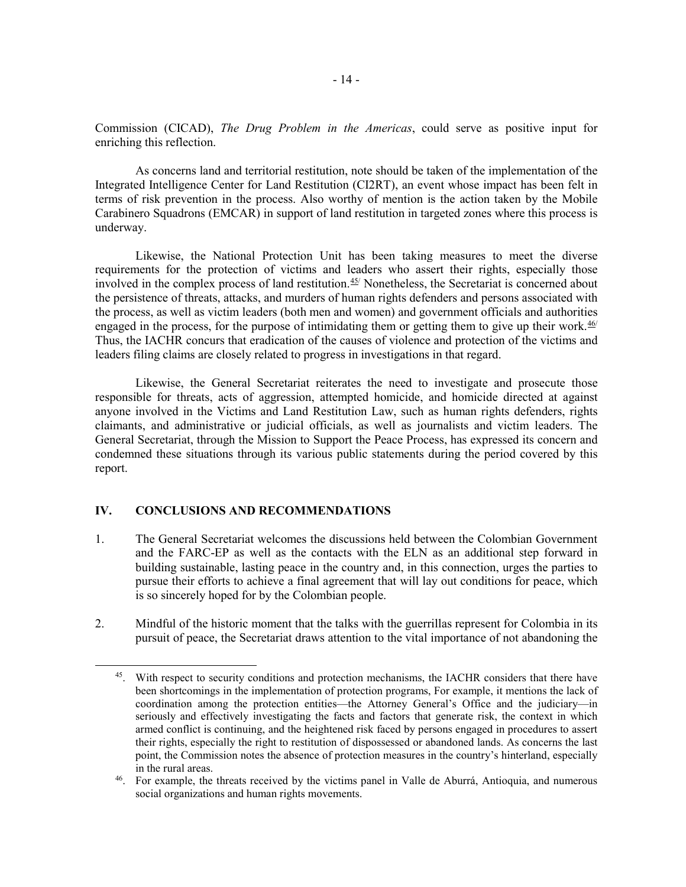Commission (CICAD), *The Drug Problem in the Americas*, could serve as positive input for enriching this reflection.

As concerns land and territorial restitution, note should be taken of the implementation of the Integrated Intelligence Center for Land Restitution (CI2RT), an event whose impact has been felt in terms of risk prevention in the process. Also worthy of mention is the action taken by the Mobile Carabinero Squadrons (EMCAR) in support of land restitution in targeted zones where this process is underway.

Likewise, the National Protection Unit has been taking measures to meet the diverse requirements for the protection of victims and leaders who assert their rights, especially those involved in the complex process of land restitution.<sup>[45/](#page-14-0)</sup> Nonetheless, the Secretariat is concerned about the persistence of threats, attacks, and murders of human rights defenders and persons associated with the process, as well as victim leaders (both men and women) and government officials and authorities engaged in the process, for the purpose of intimidating them or getting them to give up their work. $46/$ Thus, the IACHR concurs that eradication of the causes of violence and protection of the victims and leaders filing claims are closely related to progress in investigations in that regard.

Likewise, the General Secretariat reiterates the need to investigate and prosecute those responsible for threats, acts of aggression, attempted homicide, and homicide directed at against anyone involved in the Victims and Land Restitution Law, such as human rights defenders, rights claimants, and administrative or judicial officials, as well as journalists and victim leaders. The General Secretariat, through the Mission to Support the Peace Process, has expressed its concern and condemned these situations through its various public statements during the period covered by this report.

## **IV. CONCLUSIONS AND RECOMMENDATIONS**

- 1. The General Secretariat welcomes the discussions held between the Colombian Government and the FARC-EP as well as the contacts with the ELN as an additional step forward in building sustainable, lasting peace in the country and, in this connection, urges the parties to pursue their efforts to achieve a final agreement that will lay out conditions for peace, which is so sincerely hoped for by the Colombian people.
- <span id="page-14-0"></span>2. Mindful of the historic moment that the talks with the guerrillas represent for Colombia in its pursuit of peace, the Secretariat draws attention to the vital importance of not abandoning the

<sup>&</sup>lt;sup>45</sup>. With respect to security conditions and protection mechanisms, the IACHR considers that there have been shortcomings in the implementation of protection programs, For example, it mentions the lack of coordination among the protection entities—the Attorney General's Office and the judiciary—in seriously and effectively investigating the facts and factors that generate risk, the context in which armed conflict is continuing, and the heightened risk faced by persons engaged in procedures to assert their rights, especially the right to restitution of dispossessed or abandoned lands. As concerns the last point, the Commission notes the absence of protection measures in the country's hinterland, especially in the rural areas.

<span id="page-14-1"></span><sup>46.</sup> For example, the threats received by the victims panel in Valle de Aburrá, Antioquia, and numerous social organizations and human rights movements.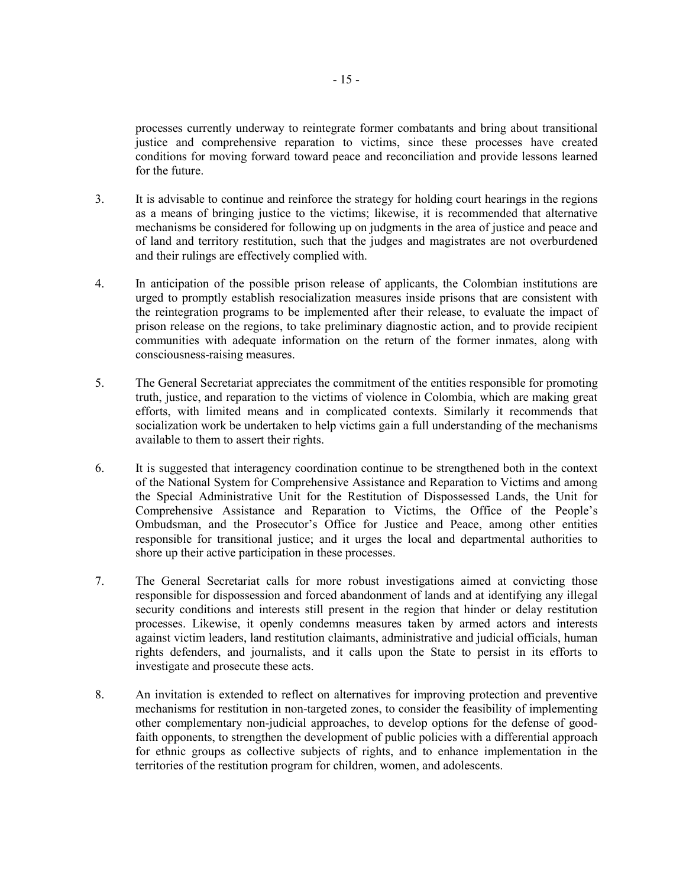processes currently underway to reintegrate former combatants and bring about transitional justice and comprehensive reparation to victims, since these processes have created conditions for moving forward toward peace and reconciliation and provide lessons learned for the future.

- 3. It is advisable to continue and reinforce the strategy for holding court hearings in the regions as a means of bringing justice to the victims; likewise, it is recommended that alternative mechanisms be considered for following up on judgments in the area of justice and peace and of land and territory restitution, such that the judges and magistrates are not overburdened and their rulings are effectively complied with.
- 4. In anticipation of the possible prison release of applicants, the Colombian institutions are urged to promptly establish resocialization measures inside prisons that are consistent with the reintegration programs to be implemented after their release, to evaluate the impact of prison release on the regions, to take preliminary diagnostic action, and to provide recipient communities with adequate information on the return of the former inmates, along with consciousness-raising measures.
- 5. The General Secretariat appreciates the commitment of the entities responsible for promoting truth, justice, and reparation to the victims of violence in Colombia, which are making great efforts, with limited means and in complicated contexts. Similarly it recommends that socialization work be undertaken to help victims gain a full understanding of the mechanisms available to them to assert their rights.
- 6. It is suggested that interagency coordination continue to be strengthened both in the context of the National System for Comprehensive Assistance and Reparation to Victims and among the Special Administrative Unit for the Restitution of Dispossessed Lands, the Unit for Comprehensive Assistance and Reparation to Victims, the Office of the People's Ombudsman, and the Prosecutor's Office for Justice and Peace, among other entities responsible for transitional justice; and it urges the local and departmental authorities to shore up their active participation in these processes.
- 7. The General Secretariat calls for more robust investigations aimed at convicting those responsible for dispossession and forced abandonment of lands and at identifying any illegal security conditions and interests still present in the region that hinder or delay restitution processes. Likewise, it openly condemns measures taken by armed actors and interests against victim leaders, land restitution claimants, administrative and judicial officials, human rights defenders, and journalists, and it calls upon the State to persist in its efforts to investigate and prosecute these acts.
- 8. An invitation is extended to reflect on alternatives for improving protection and preventive mechanisms for restitution in non-targeted zones, to consider the feasibility of implementing other complementary non-judicial approaches, to develop options for the defense of goodfaith opponents, to strengthen the development of public policies with a differential approach for ethnic groups as collective subjects of rights, and to enhance implementation in the territories of the restitution program for children, women, and adolescents.